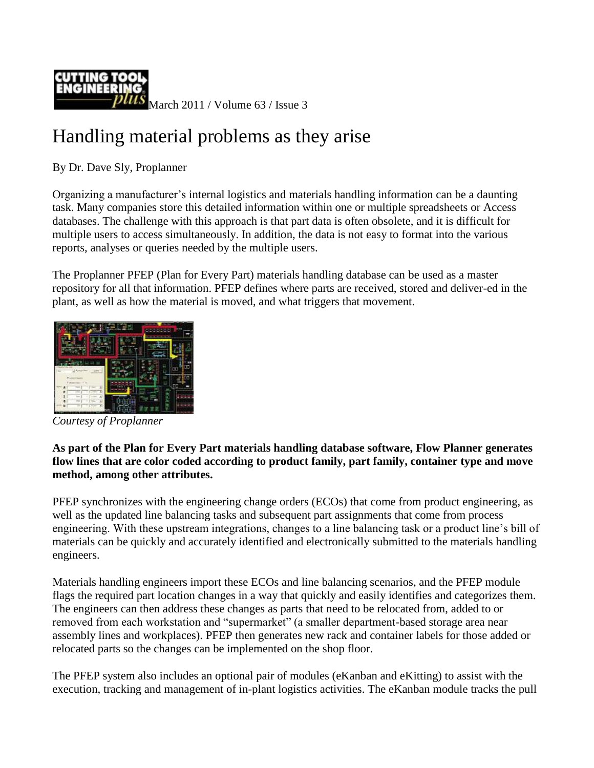

March 2011 / Volume 63 / Issue 3

## Handling material problems as they arise

By Dr. Dave Sly, Proplanner

Organizing a manufacturer's internal logistics and materials handling information can be a daunting task. Many companies store this detailed information within one or multiple spreadsheets or Access databases. The challenge with this approach is that part data is often obsolete, and it is difficult for multiple users to access simultaneously. In addition, the data is not easy to format into the various reports, analyses or queries needed by the multiple users.

The Proplanner PFEP (Plan for Every Part) materials handling database can be used as a master repository for all that information. PFEP defines where parts are received, stored and deliver-ed in the plant, as well as how the material is moved, and what triggers that movement.



*Courtesy of Proplanner*

## **As part of the Plan for Every Part materials handling database software, Flow Planner generates flow lines that are color coded according to product family, part family, container type and move method, among other attributes.**

PFEP synchronizes with the engineering change orders (ECOs) that come from product engineering, as well as the updated line balancing tasks and subsequent part assignments that come from process engineering. With these upstream integrations, changes to a line balancing task or a product line's bill of materials can be quickly and accurately identified and electronically submitted to the materials handling engineers.

Materials handling engineers import these ECOs and line balancing scenarios, and the PFEP module flags the required part location changes in a way that quickly and easily identifies and categorizes them. The engineers can then address these changes as parts that need to be relocated from, added to or removed from each workstation and "supermarket" (a smaller department-based storage area near assembly lines and workplaces). PFEP then generates new rack and container labels for those added or relocated parts so the changes can be implemented on the shop floor.

The PFEP system also includes an optional pair of modules (eKanban and eKitting) to assist with the execution, tracking and management of in-plant logistics activities. The eKanban module tracks the pull